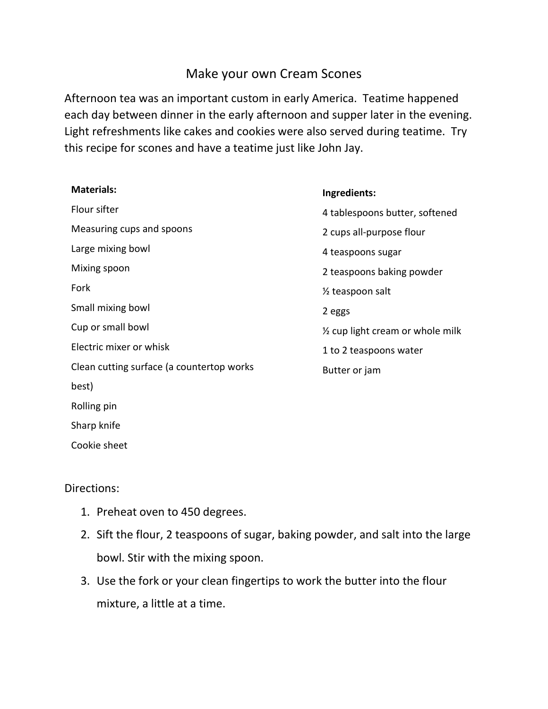## Make your own Cream Scones

Afternoon tea was an important custom in early America. Teatime happened each day between dinner in the early afternoon and supper later in the evening. Light refreshments like cakes and cookies were also served during teatime. Try this recipe for scones and have a teatime just like John Jay.

| <b>Materials:</b>                         | Ingredients:                                |
|-------------------------------------------|---------------------------------------------|
| Flour sifter                              | 4 tablespoons butter, softened              |
| Measuring cups and spoons                 | 2 cups all-purpose flour                    |
| Large mixing bowl                         | 4 teaspoons sugar                           |
| Mixing spoon                              | 2 teaspoons baking powder                   |
| Fork                                      | 1/ <sub>2</sub> teaspoon salt               |
| Small mixing bowl                         | 2 eggs                                      |
| Cup or small bowl                         | $\frac{1}{2}$ cup light cream or whole milk |
| Electric mixer or whisk                   | 1 to 2 teaspoons water                      |
| Clean cutting surface (a countertop works | Butter or jam                               |
| best)                                     |                                             |
| Rolling pin                               |                                             |
| Sharp knife                               |                                             |

Cookie sheet

## Directions:

- 1. Preheat oven to 450 degrees.
- 2. Sift the flour, 2 teaspoons of sugar, baking powder, and salt into the large bowl. Stir with the mixing spoon.
- 3. Use the fork or your clean fingertips to work the butter into the flour mixture, a little at a time.